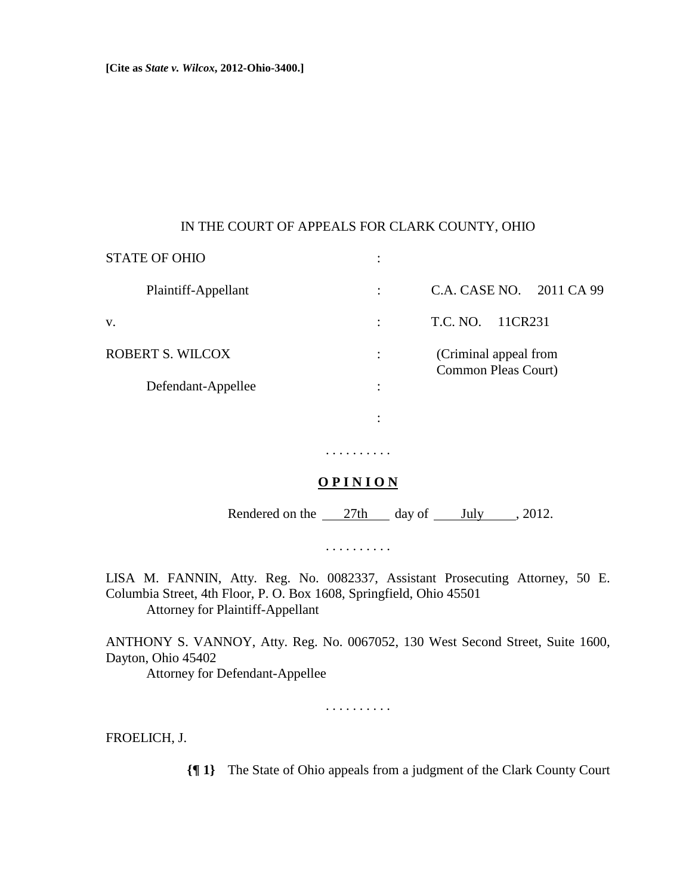**[Cite as** *State v. Wilcox***, 2012-Ohio-3400.]**

## IN THE COURT OF APPEALS FOR CLARK COUNTY, OHIO

| <b>STATE OF OHIO</b> | ٠<br>$\bullet$ |                                              |
|----------------------|----------------|----------------------------------------------|
| Plaintiff-Appellant  | ٠              | C.A. CASE NO. 2011 CA 99                     |
| V.                   | ٠              | T.C. NO.<br>11CR231                          |
| ROBERT S. WILCOX     |                | (Criminal appeal from<br>Common Pleas Court) |
| Defendant-Appellee   | ٠<br>٠         |                                              |
|                      | ٠              |                                              |
|                      |                |                                              |

## **O P I N I O N**

. . . . . . . . . .

Rendered on the  $\frac{27 \text{th}}{4}$  day of  $\frac{\text{July}}{4}$ , 2012.

. . . . . . . . . .

LISA M. FANNIN, Atty. Reg. No. 0082337, Assistant Prosecuting Attorney, 50 E. Columbia Street, 4th Floor, P. O. Box 1608, Springfield, Ohio 45501 Attorney for Plaintiff-Appellant

ANTHONY S. VANNOY, Atty. Reg. No. 0067052, 130 West Second Street, Suite 1600, Dayton, Ohio 45402

Attorney for Defendant-Appellee

. . . . . . . . . .

FROELICH, J.

**{¶ 1}** The State of Ohio appeals from a judgment of the Clark County Court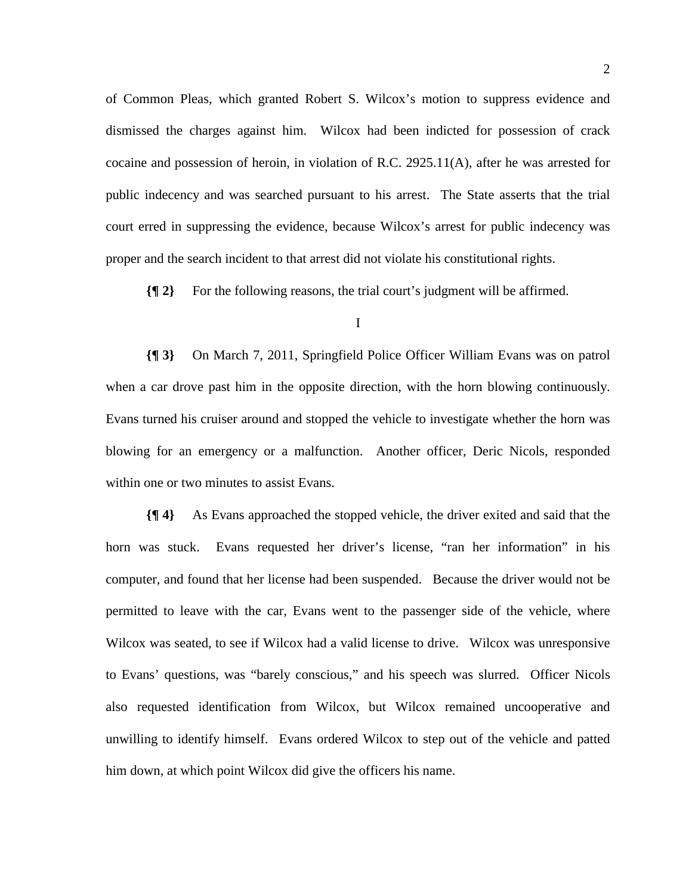of Common Pleas, which granted Robert S. Wilcox's motion to suppress evidence and dismissed the charges against him. Wilcox had been indicted for possession of crack cocaine and possession of heroin, in violation of R.C. 2925.11(A), after he was arrested for public indecency and was searched pursuant to his arrest. The State asserts that the trial court erred in suppressing the evidence, because Wilcox's arrest for public indecency was proper and the search incident to that arrest did not violate his constitutional rights.

**{¶ 2}** For the following reasons, the trial court's judgment will be affirmed.

**{¶ 3}** On March 7, 2011, Springfield Police Officer William Evans was on patrol when a car drove past him in the opposite direction, with the horn blowing continuously. Evans turned his cruiser around and stopped the vehicle to investigate whether the horn was blowing for an emergency or a malfunction. Another officer, Deric Nicols, responded within one or two minutes to assist Evans.

**{¶ 4}** As Evans approached the stopped vehicle, the driver exited and said that the horn was stuck. Evans requested her driver's license, "ran her information" in his computer, and found that her license had been suspended. Because the driver would not be permitted to leave with the car, Evans went to the passenger side of the vehicle, where Wilcox was seated, to see if Wilcox had a valid license to drive. Wilcox was unresponsive to Evans' questions, was "barely conscious," and his speech was slurred. Officer Nicols also requested identification from Wilcox, but Wilcox remained uncooperative and unwilling to identify himself. Evans ordered Wilcox to step out of the vehicle and patted him down, at which point Wilcox did give the officers his name.

I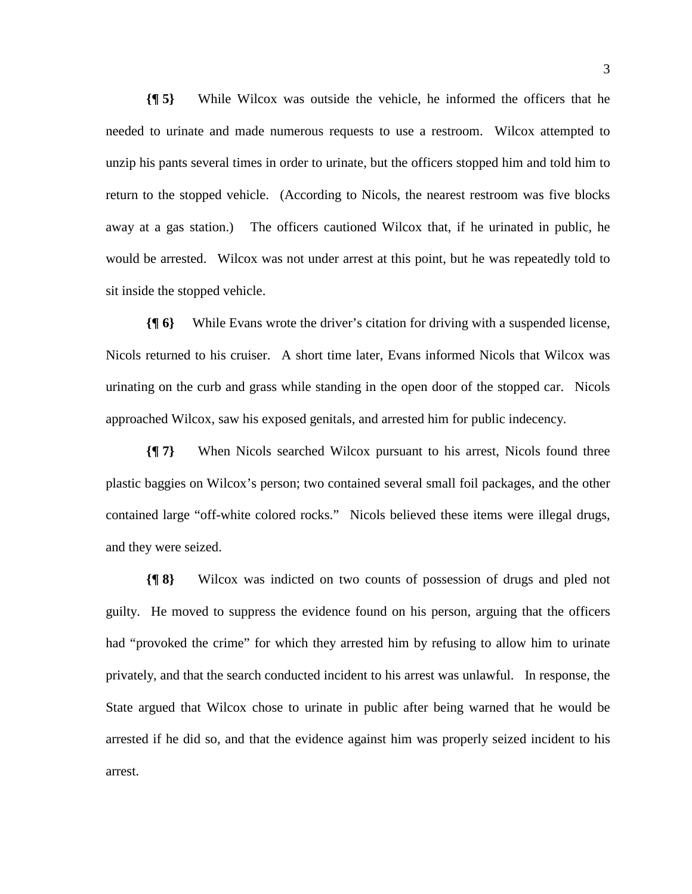**{¶ 5}** While Wilcox was outside the vehicle, he informed the officers that he needed to urinate and made numerous requests to use a restroom. Wilcox attempted to unzip his pants several times in order to urinate, but the officers stopped him and told him to return to the stopped vehicle. (According to Nicols, the nearest restroom was five blocks away at a gas station.) The officers cautioned Wilcox that, if he urinated in public, he would be arrested. Wilcox was not under arrest at this point, but he was repeatedly told to sit inside the stopped vehicle.

**{¶ 6}** While Evans wrote the driver's citation for driving with a suspended license, Nicols returned to his cruiser. A short time later, Evans informed Nicols that Wilcox was urinating on the curb and grass while standing in the open door of the stopped car. Nicols approached Wilcox, saw his exposed genitals, and arrested him for public indecency.

**{¶ 7}** When Nicols searched Wilcox pursuant to his arrest, Nicols found three plastic baggies on Wilcox's person; two contained several small foil packages, and the other contained large "off-white colored rocks." Nicols believed these items were illegal drugs, and they were seized.

**{¶ 8}** Wilcox was indicted on two counts of possession of drugs and pled not guilty. He moved to suppress the evidence found on his person, arguing that the officers had "provoked the crime" for which they arrested him by refusing to allow him to urinate privately, and that the search conducted incident to his arrest was unlawful. In response, the State argued that Wilcox chose to urinate in public after being warned that he would be arrested if he did so, and that the evidence against him was properly seized incident to his arrest.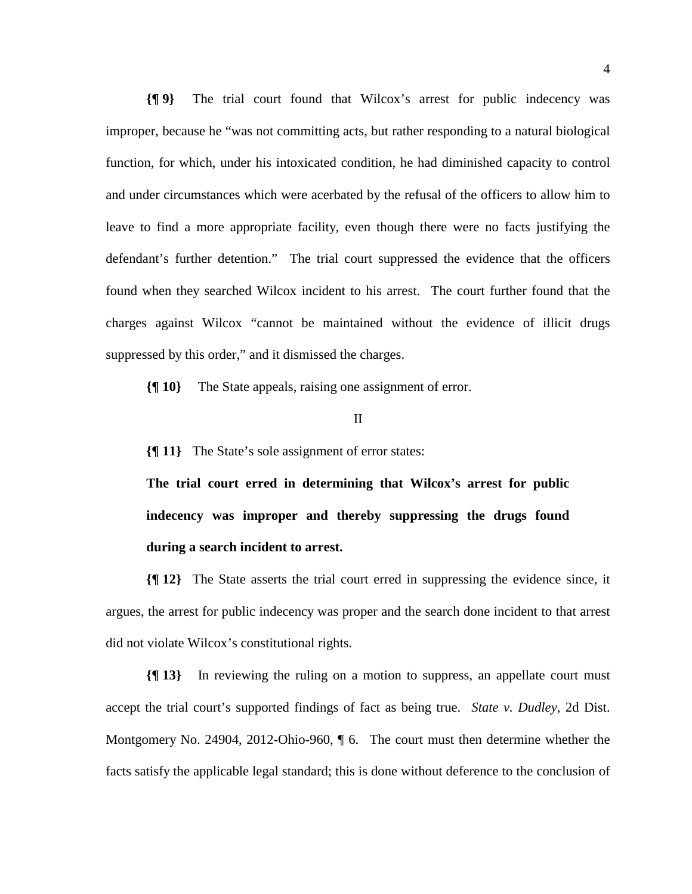**{¶ 9}** The trial court found that Wilcox's arrest for public indecency was improper, because he "was not committing acts, but rather responding to a natural biological function, for which, under his intoxicated condition, he had diminished capacity to control and under circumstances which were acerbated by the refusal of the officers to allow him to leave to find a more appropriate facility, even though there were no facts justifying the defendant's further detention." The trial court suppressed the evidence that the officers found when they searched Wilcox incident to his arrest. The court further found that the charges against Wilcox "cannot be maintained without the evidence of illicit drugs suppressed by this order," and it dismissed the charges.

**{¶ 10}** The State appeals, raising one assignment of error.

II

**{¶ 11}** The State's sole assignment of error states:

**The trial court erred in determining that Wilcox's arrest for public indecency was improper and thereby suppressing the drugs found during a search incident to arrest.**

**{¶ 12}** The State asserts the trial court erred in suppressing the evidence since, it argues, the arrest for public indecency was proper and the search done incident to that arrest did not violate Wilcox's constitutional rights.

**{¶ 13}** In reviewing the ruling on a motion to suppress, an appellate court must accept the trial court's supported findings of fact as being true. *State v. Dudley*, 2d Dist. Montgomery No. 24904, 2012-Ohio-960, ¶ 6. The court must then determine whether the facts satisfy the applicable legal standard; this is done without deference to the conclusion of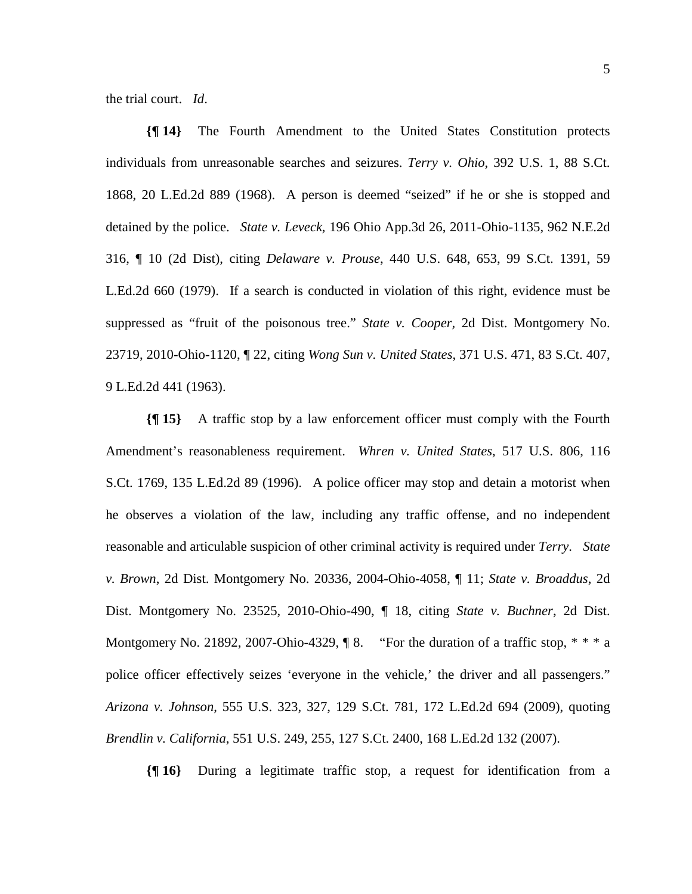the trial court. *Id*.

**{¶ 14}** The Fourth Amendment to the United States Constitution protects individuals from unreasonable searches and seizures. *Terry v. Ohio*, 392 U.S. 1, 88 S.Ct. 1868, 20 L.Ed.2d 889 (1968). A person is deemed "seized" if he or she is stopped and detained by the police. *State v. Leveck*, 196 Ohio App.3d 26, 2011-Ohio-1135, 962 N.E.2d 316, ¶ 10 (2d Dist), citing *Delaware v. Prouse*, 440 U.S. 648, 653, 99 S.Ct. 1391, 59 L.Ed.2d 660 (1979). If a search is conducted in violation of this right, evidence must be suppressed as "fruit of the poisonous tree." *State v. Cooper,* 2d Dist. Montgomery No. 23719, 2010-Ohio-1120, ¶ 22, citing *Wong Sun v. United States*, 371 U.S. 471, 83 S.Ct. 407, 9 L.Ed.2d 441 (1963).

**{¶ 15}** A traffic stop by a law enforcement officer must comply with the Fourth Amendment's reasonableness requirement. *Whren v. United States*, 517 U.S. 806, 116 S.Ct. 1769, 135 L.Ed.2d 89 (1996). A police officer may stop and detain a motorist when he observes a violation of the law, including any traffic offense, and no independent reasonable and articulable suspicion of other criminal activity is required under *Terry*. *State v. Brown*, 2d Dist. Montgomery No. 20336, 2004-Ohio-4058, ¶ 11; *State v. Broaddus*, 2d Dist. Montgomery No. 23525, 2010-Ohio-490, ¶ 18, citing *State v. Buchner*, 2d Dist. Montgomery No. 21892, 2007-Ohio-4329,  $\parallel$  8. "For the duration of a traffic stop,  $* * * a$ police officer effectively seizes 'everyone in the vehicle,' the driver and all passengers." *Arizona v. Johnson*, 555 U.S. 323, 327, 129 S.Ct. 781, 172 L.Ed.2d 694 (2009), quoting *Brendlin v. California*, 551 U.S. 249, 255, 127 S.Ct. 2400, 168 L.Ed.2d 132 (2007).

**{¶ 16}** During a legitimate traffic stop, a request for identification from a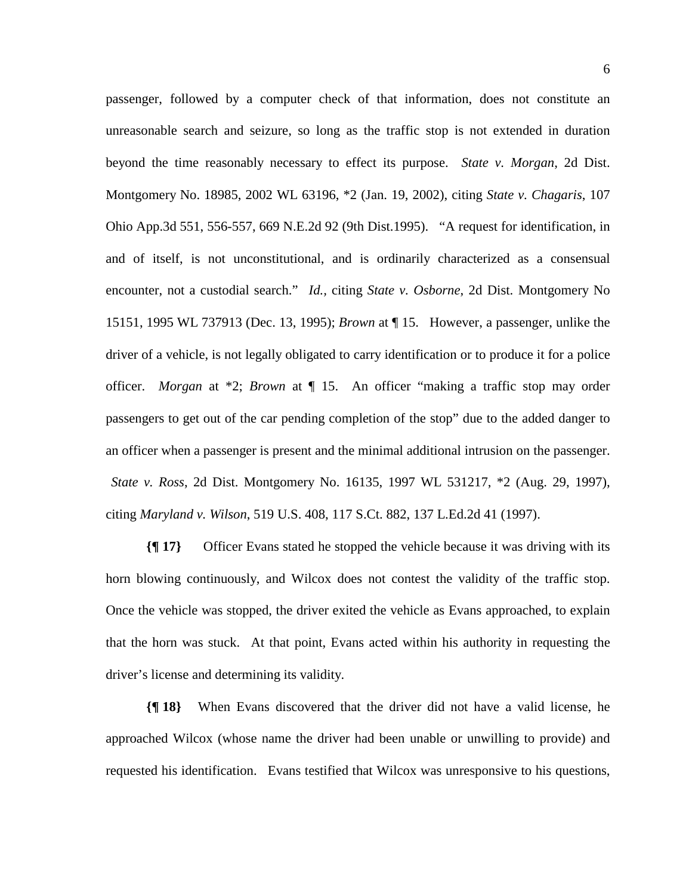passenger, followed by a computer check of that information, does not constitute an unreasonable search and seizure, so long as the traffic stop is not extended in duration beyond the time reasonably necessary to effect its purpose. *State v. Morgan*, 2d Dist. Montgomery No. 18985, 2002 WL 63196, \*2 (Jan. 19, 2002), citing *State v. Chagaris*, 107 Ohio App.3d 551, 556-557, 669 N.E.2d 92 (9th Dist.1995). "A request for identification, in and of itself, is not unconstitutional, and is ordinarily characterized as a consensual encounter, not a custodial search." *Id.,* citing *State v. Osborne*, 2d Dist. Montgomery No 15151, 1995 WL 737913 (Dec. 13, 1995); *Brown* at ¶ 15. However, a passenger, unlike the driver of a vehicle, is not legally obligated to carry identification or to produce it for a police officer. *Morgan* at \*2; *Brown* at ¶ 15. An officer "making a traffic stop may order passengers to get out of the car pending completion of the stop" due to the added danger to an officer when a passenger is present and the minimal additional intrusion on the passenger.  *State v. Ross*, 2d Dist. Montgomery No. 16135, 1997 WL 531217, \*2 (Aug. 29, 1997), citing *Maryland v. Wilson*, 519 U.S. 408, 117 S.Ct. 882, 137 L.Ed.2d 41 (1997).

**{¶ 17}** Officer Evans stated he stopped the vehicle because it was driving with its horn blowing continuously, and Wilcox does not contest the validity of the traffic stop. Once the vehicle was stopped, the driver exited the vehicle as Evans approached, to explain that the horn was stuck. At that point, Evans acted within his authority in requesting the driver's license and determining its validity.

**{¶ 18}** When Evans discovered that the driver did not have a valid license, he approached Wilcox (whose name the driver had been unable or unwilling to provide) and requested his identification. Evans testified that Wilcox was unresponsive to his questions,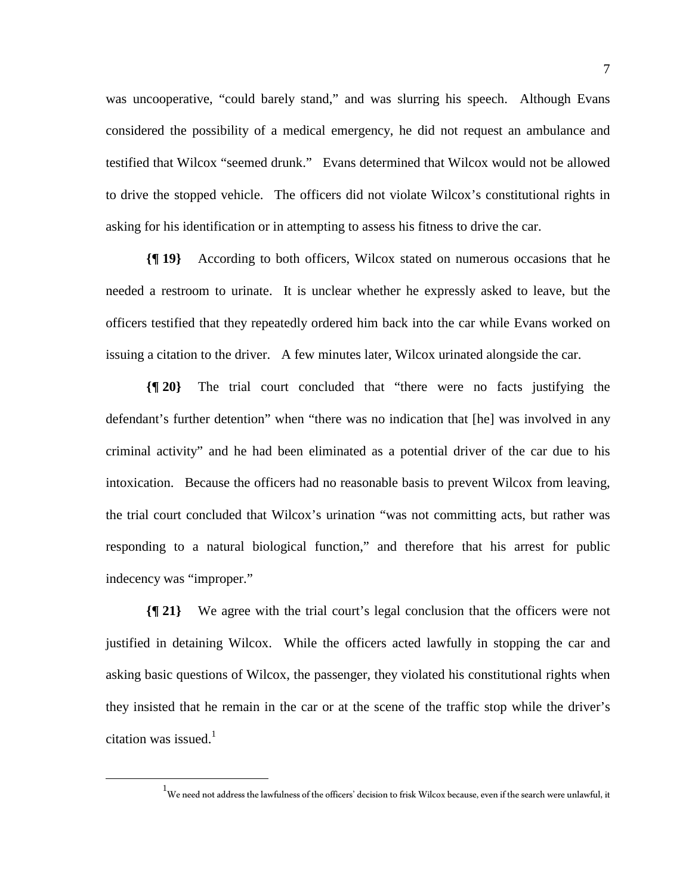was uncooperative, "could barely stand," and was slurring his speech. Although Evans considered the possibility of a medical emergency, he did not request an ambulance and testified that Wilcox "seemed drunk." Evans determined that Wilcox would not be allowed to drive the stopped vehicle. The officers did not violate Wilcox's constitutional rights in asking for his identification or in attempting to assess his fitness to drive the car.

**{¶ 19}** According to both officers, Wilcox stated on numerous occasions that he needed a restroom to urinate. It is unclear whether he expressly asked to leave, but the officers testified that they repeatedly ordered him back into the car while Evans worked on issuing a citation to the driver. A few minutes later, Wilcox urinated alongside the car.

**{¶ 20}** The trial court concluded that "there were no facts justifying the defendant's further detention" when "there was no indication that [he] was involved in any criminal activity" and he had been eliminated as a potential driver of the car due to his intoxication. Because the officers had no reasonable basis to prevent Wilcox from leaving, the trial court concluded that Wilcox's urination "was not committing acts, but rather was responding to a natural biological function," and therefore that his arrest for public indecency was "improper."

**{¶ 21}** We agree with the trial court's legal conclusion that the officers were not justified in detaining Wilcox. While the officers acted lawfully in stopping the car and asking basic questions of Wilcox, the passenger, they violated his constitutional rights when they insisted that he remain in the car or at the scene of the traffic stop while the driver's citation was issued. $1$ 

<sup>&</sup>lt;u>1</u>  $^{\text{1}}$ We need not address the lawfulness of the officers' decision to frisk Wilcox because, even if the search were unlawful, it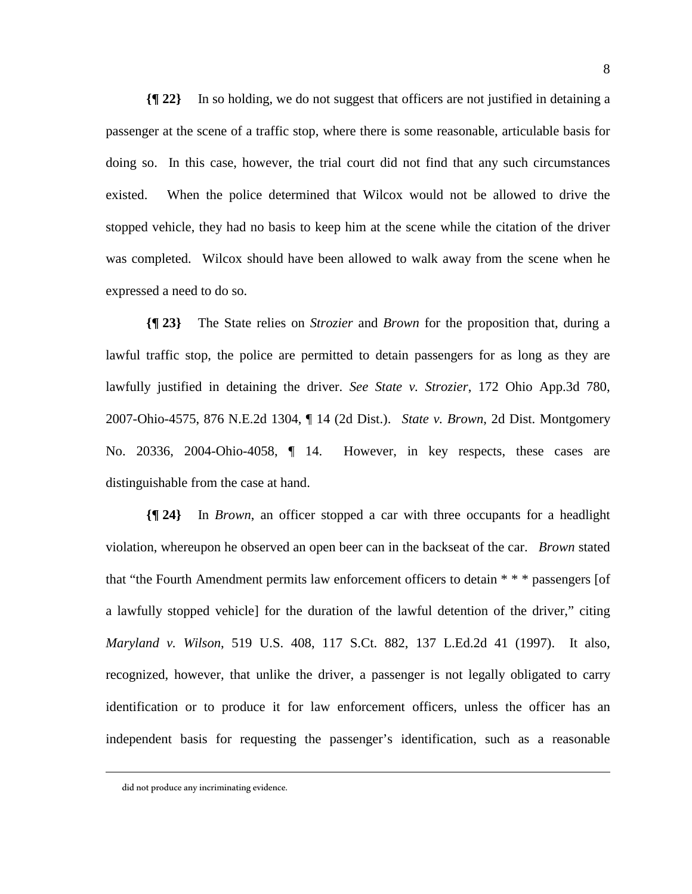**{¶ 22}** In so holding, we do not suggest that officers are not justified in detaining a passenger at the scene of a traffic stop, where there is some reasonable, articulable basis for doing so. In this case, however, the trial court did not find that any such circumstances existed. When the police determined that Wilcox would not be allowed to drive the stopped vehicle, they had no basis to keep him at the scene while the citation of the driver was completed. Wilcox should have been allowed to walk away from the scene when he expressed a need to do so.

**{¶ 23}** The State relies on *Strozier* and *Brown* for the proposition that, during a lawful traffic stop, the police are permitted to detain passengers for as long as they are lawfully justified in detaining the driver. *See State v. Strozier*, 172 Ohio App.3d 780, 2007-Ohio-4575, 876 N.E.2d 1304, ¶ 14 (2d Dist.). *State v. Brown*, 2d Dist. Montgomery No. 20336, 2004-Ohio-4058, ¶ 14. However, in key respects, these cases are distinguishable from the case at hand.

**{¶ 24}** In *Brown*, an officer stopped a car with three occupants for a headlight violation, whereupon he observed an open beer can in the backseat of the car. *Brown* stated that "the Fourth Amendment permits law enforcement officers to detain \* \* \* passengers [of a lawfully stopped vehicle] for the duration of the lawful detention of the driver," citing *Maryland v. Wilson*, 519 U.S. 408, 117 S.Ct. 882, 137 L.Ed.2d 41 (1997). It also, recognized, however, that unlike the driver, a passenger is not legally obligated to carry identification or to produce it for law enforcement officers, unless the officer has an independent basis for requesting the passenger's identification, such as a reasonable

 $\overline{a}$ 

did not produce any incriminating evidence.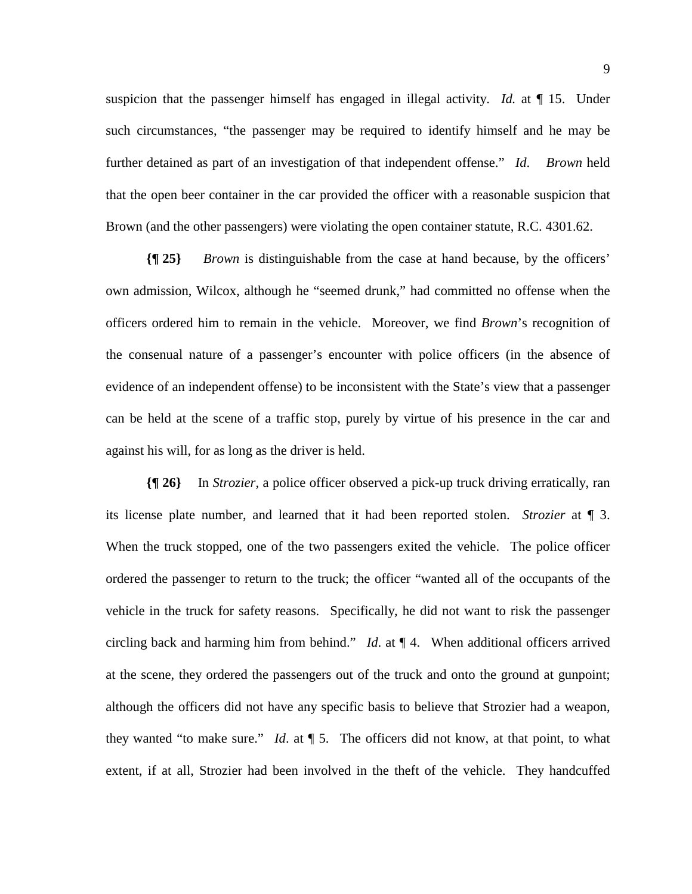suspicion that the passenger himself has engaged in illegal activity. *Id.* at ¶ 15. Under such circumstances, "the passenger may be required to identify himself and he may be further detained as part of an investigation of that independent offense." *Id*. *Brown* held that the open beer container in the car provided the officer with a reasonable suspicion that Brown (and the other passengers) were violating the open container statute, R.C. 4301.62.

**{¶ 25}** *Brown* is distinguishable from the case at hand because, by the officers' own admission, Wilcox, although he "seemed drunk," had committed no offense when the officers ordered him to remain in the vehicle. Moreover, we find *Brown*'s recognition of the consenual nature of a passenger's encounter with police officers (in the absence of evidence of an independent offense) to be inconsistent with the State's view that a passenger can be held at the scene of a traffic stop, purely by virtue of his presence in the car and against his will, for as long as the driver is held.

**{¶ 26}** In *Strozier*, a police officer observed a pick-up truck driving erratically, ran its license plate number, and learned that it had been reported stolen. *Strozier* at ¶ 3. When the truck stopped, one of the two passengers exited the vehicle. The police officer ordered the passenger to return to the truck; the officer "wanted all of the occupants of the vehicle in the truck for safety reasons. Specifically, he did not want to risk the passenger circling back and harming him from behind." *Id*. at ¶ 4. When additional officers arrived at the scene, they ordered the passengers out of the truck and onto the ground at gunpoint; although the officers did not have any specific basis to believe that Strozier had a weapon, they wanted "to make sure." *Id*. at ¶ 5. The officers did not know, at that point, to what extent, if at all, Strozier had been involved in the theft of the vehicle. They handcuffed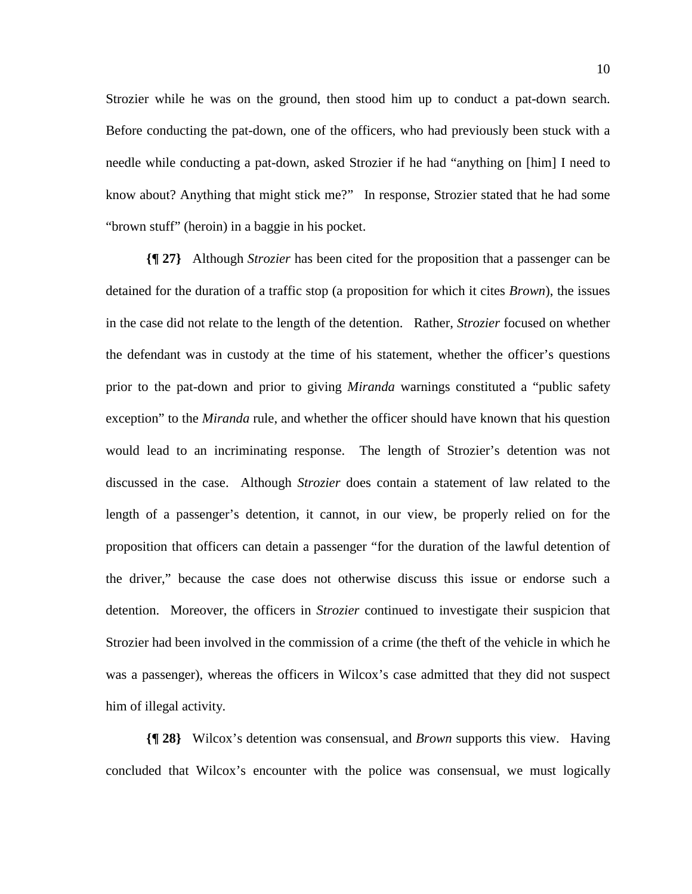Strozier while he was on the ground, then stood him up to conduct a pat-down search. Before conducting the pat-down, one of the officers, who had previously been stuck with a needle while conducting a pat-down, asked Strozier if he had "anything on [him] I need to know about? Anything that might stick me?" In response, Strozier stated that he had some "brown stuff" (heroin) in a baggie in his pocket.

**{¶ 27}** Although *Strozier* has been cited for the proposition that a passenger can be detained for the duration of a traffic stop (a proposition for which it cites *Brown*), the issues in the case did not relate to the length of the detention. Rather, *Strozier* focused on whether the defendant was in custody at the time of his statement, whether the officer's questions prior to the pat-down and prior to giving *Miranda* warnings constituted a "public safety exception" to the *Miranda* rule, and whether the officer should have known that his question would lead to an incriminating response. The length of Strozier's detention was not discussed in the case. Although *Strozier* does contain a statement of law related to the length of a passenger's detention, it cannot, in our view, be properly relied on for the proposition that officers can detain a passenger "for the duration of the lawful detention of the driver," because the case does not otherwise discuss this issue or endorse such a detention. Moreover, the officers in *Strozier* continued to investigate their suspicion that Strozier had been involved in the commission of a crime (the theft of the vehicle in which he was a passenger), whereas the officers in Wilcox's case admitted that they did not suspect him of illegal activity.

**{¶ 28}** Wilcox's detention was consensual, and *Brown* supports this view. Having concluded that Wilcox's encounter with the police was consensual, we must logically